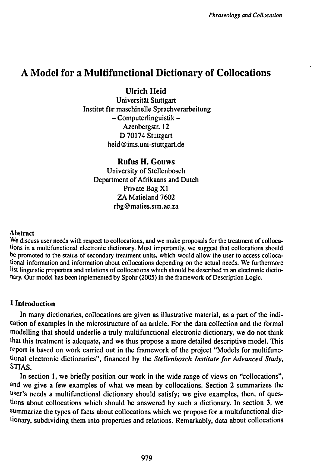# **A Model for a Multifunctional Dictionary of Collocations**

**Ulrich Hcid**

Universität Stuttgart Institut für maschinelle Sprachverarbeitung  $-$  Computerlinguistik  $-$ Azenbergstr. 12 D 70174 Stuttgart heid @ ims.uni-stuttgart.de

**Rufus H. Gouws** University of Stellenbosch Department of Afrikaans and Dutch Private Bag XI ZA Matieland 7602 rhg@maties.sun.ac.za

#### Abstract

We discuss user needs with respect to collocations, and we make proposals for the treatment of collocations in a multifunctional electronic dictionary. Most importantly, we suggest that collocations should be promoted to the status of secondary treatment units, which would allow the user to access collocational information and information about collocations depending on the actual needs. We furthermore list linguistic properties and relations of collocations which should be described in an electronic dictionary. Our model has been inplemented by Spohr (2005) in the framework of Description Logic.

## **1 Introduction**

In many dictionaries, collocations are given as illustrative material, as a part of the indication of examples in the microstructure of an article. For the data collection and the formal modelling that should underlie a truly multifunctional electronic dictionary, we do not think that this treatment is adequate, and we thus propose a more detailed descriptive model. This report is based on work carried out in the framework of the project "Models for multifunctional electronic dictionaries", Financed by the *Stellenbosch Institute for Advanced Study,* STIAS.

In section 1, we briefly position our work in the wide range of views on "collocations", and we give a few examples of what we mean by collocations. Section 2 summarizes the user's needs a multifunctional dictionary should satisfy; we give examples, then, of questions about collocations which should be answered by such a dictionary. In section 3, we summarize the types of facts about collocations which we propose for a multifunctional dictionary, subdividing them into properties and relations. Remarkably, data about collocations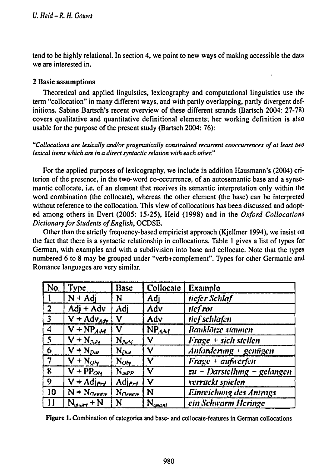tend to be highly relational. In section 4, we point to new ways of making accessible the data we are interested in.

## 2 Basic assumptions

Theoretical and applied linguistics, lexicography and computational linguistics use the term "collocation" in many different ways, and with partly overlapping, partly divergent definitions. Sabine Bartsch's recent overview of these different strands (Bartsch 2004: 27-78) covers qualitative and quantitative definitional elements; her working definition is also usable for the purpose of the present study (Bartsch 2004: 76):

*"Collocations are lexically and/or pragmatically constrained recurrent cooccurrences of at least two lexical items which are in a direct syntactic relation with each other."*

For the applied purposes of lexicography, we include in addition Hausmann's (2004) criterion of the presence, in the two-word co-occurrence, of an autosemantic base and a synsemantic collocate, i.e. of an element that receives its semantic interpretation only within the word combination (the collocate), whereas the other element (the base) can be interpreted without reference to the collocation. This view of collocations has been discussed and adopted among others in Evert (2005: 15-25), Heid (1998) and in the *Oxford Collocations Dictionaryfor Students ofEnglish,* OCDSE.

Other than the strictly frequency-based empiricist approach (Kjellmer 1994), we insist on the fact that there is a syntactic relationship in collocations. Table <sup>1</sup> gives a list of types for German, with examples and with a subdivision into base and collocate. Note that the types numbered 6 to 8 may be grouped under "verb+complement". Types for other Germanic and Romance languages are very similar.

| $N$ o,                   | Type                       | Base                 | <b>Collocate</b>   | Example                                  |  |
|--------------------------|----------------------------|----------------------|--------------------|------------------------------------------|--|
|                          | $N + Adj$                  | N                    | Adj                | tiefer Schlaf                            |  |
| $\sqrt{2}$               | $Adj + Adv$                | Adj                  | Adv                | tief rot                                 |  |
| $\overline{3}$           | $V + Adv_{AB}$             | ٧                    | Adv                | tief schlafen                            |  |
| $\overline{4}$           | $V + NP_{Add}$             | ٧                    | NP <sub>Ab1</sub>  | Bauklötze stannen                        |  |
| $\overline{\phantom{a}}$ | $\overline{V}$ + $N_{2uY}$ | $N_{S_4M}$           | ٧                  | $Frage + sich stellen$                   |  |
| $\overline{6}$           | $V + N_{Day}$              | $N_{D_{\lambda}y}$   | ٧                  | Anforderung + gentigen                   |  |
| $\sqrt{7}$               | $V + N_{O_Y}$              | $N_{O_{\mathbf{Y}}}$ | ν                  | Frage + aufwerfen                        |  |
| 8                        | $V + PPo$                  | $N_{\mu\nu}P$        | ٧                  | $\overline{zu}$ + Darstellung + gelangen |  |
| $\overline{9}$           | $V + Adj_{Pyl}$            | $Adj_{P}$            | V                  | verrückt spielen                         |  |
| 10                       | $N + N_{Gønstr}$           | N <sub>Clemmer</sub> | N                  | Einreichung des Antrags                  |  |
|                          | $N_{\text{shock}} + N$     | N                    | $N_{\text{quant}}$ | ein Schwarm Heringe                      |  |

Figure 1. Combination of categories and base- and collocate-features in German collocations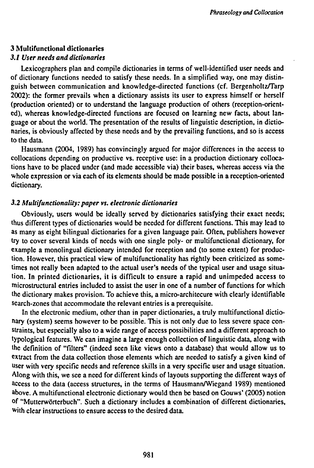## **3 Multifunctional dictionaries**

## *3.1 User needs and dictionaries*

**Lexicographers plan and compile dictionaries in terms of well-identified user needs and of dictionary functions needed to satisfy these needs. In a simplified way, one may distinguish between communication and knowledge-directed functions (cf. Bergenholtz/Tarp 2002): the former prevails when a dictionary assists its user to express himself or herself (production oriented) or to understand the language production of others (reception-oriented), whereas knowledge-directed functions are focused on learning new facts, about language or about the world. The presentation of the results of linguistic description, in dictionaries, is obviously affected by these needs and by the prevailing functions, and so is access to the data.**

**Hausmann (2004, 1989) has convincingly argued for major differences in the access to collocations depending on productive vs. receptive use: in a production dictionary collocations have to be placed under (and made accessible via) their bases, whereas access via the whole expression or via each of its elements should be made possible in a reception-oriented dictionary.**

## *3.2 Mult¡functionality: paper vs. electronic dictionaries*

**Obviously, users would be ideally served by dictionaries satisfying their exact needs; thus different types of dictionaries would be needed for different functions. This may lead to as many as eight bilingual dictionaries for a given language pair. Often, publishers however try to cover several kinds of needs with one single poly- or multifunctional dictionary, for example a monolingual dictionary intended for reception and (to some extent) for production. However, this practical view of multifunctionality has rightly been criticized as sometimes not really been adapted to the actual user's needs of the typical user and usage situation. In printed dictionaries, it is difficult to ensure a rapid and unimpeded access to microstructural entries included to assist the user in one of a number of functions for which the dictionary makes provision. To achieve this, a micro-architecure with clearly identifiable search-zones that accommodate the relevant entries is a prerequisite.**

**In the electronic medium, other than in paper dictionaries, a truly multifunctional dictionary (system) seems however to be possible. This is not only due to less severe space constraints, but especially also to a wide range of access possibilities and a different approach to typological features. We can imagine a large enough collection of linguistic data, along with the definition of "filters" (indeed seen like views onto a database) that would allow us to extract from the data collection those elements which are needed to satisfy a given kind of user with very specific needs and reference skills in a very specific user and usage situation. Along with this, we see a need for different kinds of layouts supporting the different ways of access to the data (access structures, in the terms of Hausmann/Wiegand 1989) mentioned above. A multifunctional electronic dictionary would then be based on Gouws' (2005) notion of "Mutterwörterbuch". Such a dictionary includes a combination of different dictionaries, with clear instructions to ensure access to the desired data.**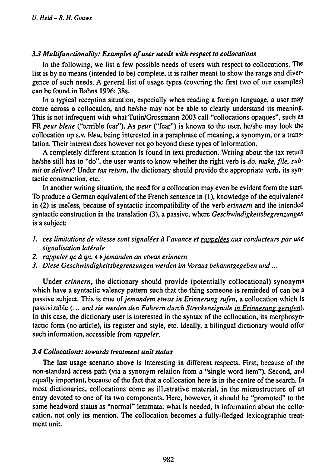## *3.3 Multifunctionality: Examples ofuser needs with respect to collocations*

In the following, we list a few possible needs of users with respect to collocations. The list is by no means (intended to be) complete, it is rather meant to show the range and divergence of such needs. A general list of usage types (covering the first two of our examples) can be found in Bahns 1996: 38s.

In a typical reception situation, especially when reading a foreign language, a user may come across a collocation, and he/she may not be able to clearly understand its meaning. This is not infrequent with what Tutin/Grossmann 2003 call "collocations opaques", such as FR *peur bleue* ("terrible fear"). As *peur* ("fear") is known to the user, he/she may look the collocation up s.v. *bleu,* being interested in a paraphrase of meaning, a synomym, or a translation. Their interest does however not go beyond these types of information.

A completely different situation is found in text production. Writing about the tax return he/she still has to "do", the user wants to know whether the right verb is *do, make, file, submit* or *deliver?* Under *tax return,* the dictionary should provide the appropriate verb, its syntactic construction, etc.

In another writing situation, the need for a collocation may even be evident form the start-To produce a German equivalent of the French sentence in (1), knowledge of the equivalence in (2) is useless, because of syntactic incompatibility of the verb *erinnern* and the intended syntactic construction in the translation (3), a passive, where *Geschwindigkeitsbegrenzungen* is a subject:

- *1. ces limitations de vitesse sont signalées à l'avance et rappelées aux conducteurs par une signalisation laterale*
- *2. rappeler qc à qn.* <-» *jemanden an etwas erinnern*
- *3. Diese Geschwindigkeitsbegrenzungen werden im Voraus bekanntgegeben und...*

Under *erinnern,* the dictionary should provide (potentially collocational) synonyms which have a syntactic valency pattern such that the thing someone is reminded of can be a passive subject. This is true of*jemandem etwas in Erinnerung rufen,* a collocation which is passivizable (... *und sie werden den Fahrern durch Streckensignale in Erinnerung gert(fen).* In this case, the dictionary user is interested in the syntax of the collocation, its morphosyntactic form (no article), its register and style, etc. Ideally, a bilingual dictionary would offer such information, accessible from *rappeler.*

#### *3.4 Collocations: towards treatment unit status*

The last usage scenario above is interesting in different respects. First, because of the non-standard access path (via a synonym relation from a "single word item"). Second, and equally important, because of the fact that a collocation here is in the centre of the search. In most dictionaries, collocations come as illustrative material, in the microstructure of an entry devoted to one of its two components. Here, however, it should be "promoted" to the same headword status as "normal" lemmata: what is needed, is information about the collocation, not only its mention. The collocation becomes a fully-fledged lexicographic treatment unit.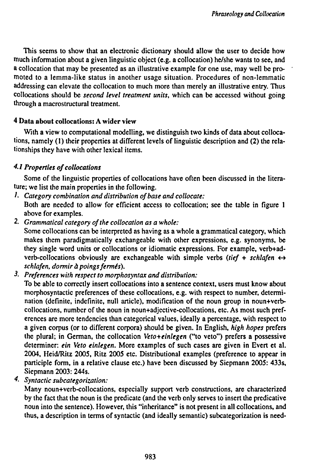This seems to show that an electronic dictionary should allow the user to decide how much information about **a** given linguistic object (e.g. **a** collocation) he/she wants to see, and a collocation that may be presented as an illustrative example for one use, may well be promoted to a lemma-like status in another usage situation. Procedures of non-lemmatic addressing can elevate the collocation to much more than merely an illustrative entry. Thus collocations should be *second level treatment units,* which can be accessed without going through a macrostructural treatment.

# **4 Data about collocations: A wider view**

With **a** view to computational modelling, we distinguish two kinds of data about collocations, namely (1) their properties at different levels of linguistic description and (2) the relationships they have with other lexical items.

## *4.1 Properties ofcollocations*

Some of the linguistic properties of collocations have often been discussed in the literature; we list the main properties in the following.

- *¡' Category combination and distribution ofbase and collocate:* Both are needed to allow for efficient access to collocation; see the table in figure <sup>1</sup> above for examples.
- 2. *Grammatical category ofthe collocation as a whole:*

Some collocations can be interpreted as having as a whole a grammatical category, which makes them paradigmatically exchangeable with other expressions, e.g. synonyms, be they single word units or collocations or idiomatic expressions. For example, verb+adverb-collocations obviously are exchangeable with simple verbs *(tief* + *schlafen*  $\leftrightarrow$ *schlafen, dormir à poingsfermés).*

•?• *Preferences with respect to morphosyntax and distribution:*

To be able to correctly insert collocations into a sentence context, users must know about morphosyntactic preferences of these collocations, e.g. with respect to number, determination (definite, indefinite, null article), modification of the noun group in noun+verbcollocations, number of the noun in noun+adjective-collocations, etc. As most such preferences are more tendencies than categorical values, ideally a percentage, with respect to a given corpus (or to different corpora) should be given. In English, *high hopes* prefers the plural; in German, the collocation *Veto+einlegen* ("to veto") prefers **a** possessive determiner: *ein Veto einlegen.* More examples of such cases are given in Evert et al. 2004, Heid/Ritz 2005, Ritz 2005 etc. Distributional examples (preference to appear in participle form, in a relative clause etc.) have been discussed by Siepmann 2005: 433s, Siepmann 2003: 244s.

*4- Syntactic subcategorization:*

Many noun+verb-collocations, especially support verb constructions, are characterized by the fact that the noun is the predicate (and the verb only serves to insert the predicative noun into the sentence). However, this "inheritance" is not present in all collocations, and thus, a description in terms of syntactic (and ideally semantic) subcategorization is need-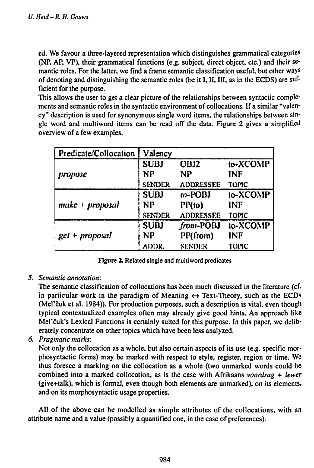**ed. We favour a three-layered representation which distinguishes grammatical categories (NP, AP, VP), their grammatical functions (e.g. subject, direct object, etc.) and their semantic roles. For the latter, we find a frame semantic classification useful, but other ways of denoting and distinguishing the semantic roles (be it I, II, III, as in the ECDS) are sufficient for the purpose.**

**This allows the user to get a clear picture of the relationships between syntactic complements and semantic roles in the syntactic environment of collocations. If a similar "valency" description is used for synonymous single word items, the relationships between single word and multiword items can be read off the data. Figure 2 gives a simplified overview of a few examples.**

| Predicate/Collocation | Valency                  |                  |                 |
|-----------------------|--------------------------|------------------|-----------------|
| propose               | <b>SUBJ</b><br><b>NP</b> | OBJ2<br>NP       | to-XCOMP<br>INF |
|                       | <b>SENDER</b>            | <b>ADDRESSEE</b> | <b>TOMC</b>     |
|                       | <b>SUBJ</b>              | $10 - POBI$      | to-XCOMP        |
| $make + proposal$     | NP                       | PP(to)           | INF             |
|                       | <b>SENDER</b>            | <b>ADDRESSEE</b> | <b>TOMC</b>     |
|                       | <b>SUDJ</b>              | from-POBJ        | to-XCOMP        |
| $get + proposal$      | NP                       | PP(from)         | <b>INF</b>      |
|                       | ADDR.                    | <b>SENDER</b>    | TOMC            |

**Figure 2. Related single and multiword predicates**

*5. Semantic annotation:*

**The semantic classification of collocations has been much discussed in the literature (cf. in particular work in the paradigm of Meaning \*-» Text-Theory, such as the ECDs (Mel'cuk et al. 1984)). For production purposes, such a description is vital, even though typical contextualized examples often may already give good hints. An approach like Mel'cuk's Lexical Functions is certainly suited for this purpose. In this paper, we deliberately concentrate on other topics which have been less analyzed.**

*6. Pragmatic marks:*

**Not only the collocation as a whole, but also certain aspects of its use (e.g. specific morphosyntactic forms) may be marked with respect to style, register, region or time. We thus foresee a marking on the collocation as a whole (two unmarked words could be combined into a marked collocation, as is the case with Afrikaans** *voordrag* **+** *lewer* **(give+talk), which is formal, even though both elements are unmarked), on its elements, and on its morphosyntactic usage properties.**

**All of the above can be modelled as simple attributes of the collocations, with an attribute name and a value (possibly a quantified one, in the case of preferences).**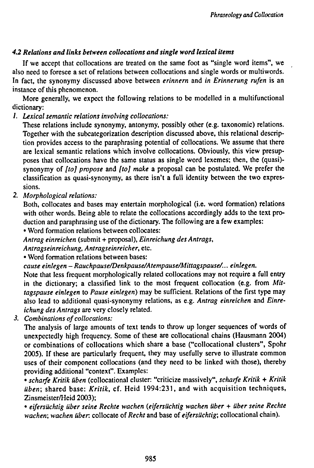# *4.2 Relations and links between collocations and single word lexical items*

If we accept that collocations are treated on the same foot as "single word items", we also need to foresee a set of relations between collocations and single words or multiwords. In fact, the synonymy discussed above between *erinnern* and *in Erinnerung rufen* is an instance of this phenomenon.

More generally, we expect the following relations to be modelled in a multifunctional dictionary:

/. *Lexical semantic relations involving collocations:*

These relations include synonymy, antonymy, possibly other (e.g. taxonomic) relations. Together with the subcategorization description discussed above, this relational description provides access to the paraphrasing potential of collocations. We assume that there are lexical semantic relations which involve collocations. Obviously, this view presupposes that collocations have the same status as single word lexemes; then, the (quasi) synonymy of *[to] propose* and *[to] make* a proposal can be postulated. We prefer the classification as quasi-synonymy, as there isn't a full identity between the two expressions.

*2. Morphological relations:*

Both, collocates and bases may entertain morphological (i.e. word formation) relations with other words. Being able to relate the collocations accordingly adds to the text production and paraphrasing use of the dictionary. The following are a few examples:

• Word formation relations between collocates:

*Antrag einreichen* (submit + proposal), *Einreichung des Antrags,*

*Antragseinreichung, Antragseinreicher,* etc.

• Word formation relations between bases:

*cause einlegen - Rauchpause/Denkpause/Atempause/Mittagspause/... einlegen.*

Note that less frequent morphologically related collocations may not require a full entry in the dictionary; a classified link to the most frequent collocation (e.g. from *Mittagspause einlegen* to *Pause einlegen)* may be sufficient. Relations of the first type may also lead to additional quasi-synonymy relations, as e.g. *Antrag einreichen* and *Einreichung des Antrags* are very closely related.

*3. Combinations of collocations:*

The analysis of large amounts of text tends to throw up longer sequences of words of unexpectedly high frequency. Some of these are collocational chains (Hausmann 2004) or combinations of collocations which share a base ("collocational clusters", Spohr 2005). If these are particularly frequent, they may usefully serve to illustrate common uses of their component collocations (and they need to be linked with those), thereby providing additional "context". Examples:

• *scharfe Kritik üben* (collocational cluster: "criticize massively", *scharfe Kritik* + *Kritik üben;* shared base: *Kritik, ci.* Heid 1994:231, and with acquisition techniques, Zinsmeister/Heid 2003);

• *eifersüchtig über seine Rechte wachen (eifersüchtig wachen über* + *über seine Rechte wachen; wachen über,* collocate of *Recht* and base of *eifersüchtig;* collocational chain).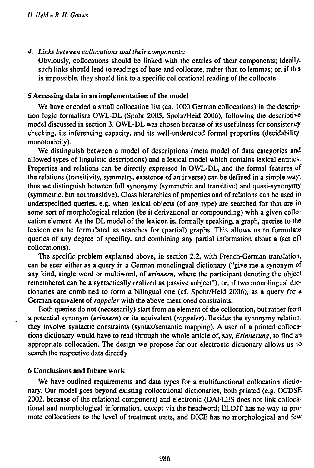*4. Links between collocations and their components:*

Obviously, collocations should be linked with the entries of their components; ideally, such links should lead to readings of base and collocate, rather than to lemmas; or, if this is impossible, they should link to **a** specific collocational reading of the collocate.

#### **5 Accessing data in an implementation of the model**

We have encoded a small collocation list (ca. 1000 German collocations) in the description logic formalism OWL-DL (Spohr 2005, Spohr/Heid 2006), following the descriptive model discussed in section 3. OWL-DL was chosen because of its usefulness for consistency checking, its inferencing capacity, and its well-understood formal properties (decidability, monotonicity).

We distinguish between a model of descriptions (meta model of data categories and allowed types of linguistic descriptions) and a lexical model which contains lexical entities. Properties and relations can be directly expressed in OWL-DL, and the formal features of the relations (transitivity, symmetry, existence of an inverse) can be defined in **a** simple way; thus we distinguish between full synonymy (symmetric and transitive) and quasi-synonymy (symmetric, but not transitive). Class hierarchies of properties and of relations can be used in underspecified queries, e.g. when lexical objects (of any type) are searched for that are in some sort of morphological relation (be it derivational or compounding) with a given collocation element. As the DL model of the lexicon is, formally speaking, a graph, queries to the lexicon can be formulated as searches for (partial) graphs. This allows us to formulate queries of any degree of specifity, and combining any partial information about a (set of) collocation(s).

The specific problem explained above, in section 2.2, with French-German translation, can be seen either as **a** query in a German monolingual dictionary ("give me **a** synonym of any kind, single word or multiword, of *erinnern,* where the participant denoting the object remembered can be a syntactically realized as passive subject"), or, if two monolingual dictionaries are combined to form a bilingual one (cf. Spohr/Heid 2006), as **a** query for a German equivalent of *rappeler* with the above mentioned constraints.

Both queries do not (necessarily) start from an element of the collocation, but rather from a potential synonym *{erinnern)* or its equivalent *{rappeler).* Besides the synonymy relation, they involve syntactic constraints (syntax/semantic mapping). A user of a printed collocations dictionary would have to read through the whole article of, say, *Erinnerung,* to find an appropriate collocation. The design we propose for our electronic dictionary allows us to search the respective data directly.

#### **6 Conclusions and future work**

We have outlined requirements and data types for **a** multifunctional collocation dictionary. Our model goes beyond existing collocational dictionaries, both printed (e.g. OCDSE 2002, because of the relational component) and electronic (DAFLES does not link collocational and morphological information, except via the headword; ELDIT has no way to promote collocations to the level of treatment units, and DICE has no morphological and few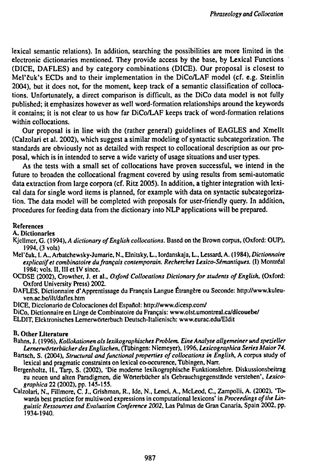**lexical semantic relations). In addition, searching the possibilities are more limited in the electronic dictionaries mentioned. They provide access by the base, by Lexical Functions (DICE, DAFLES) and by category combinations (DICE). Our proposal is closest to Mel'cuk's ECDs and to their implementation in the DiCo/LAF model (cf. e.g. Steinlin 2004), but it does not, for the moment, keep track of a semantic classification of collocations. Unfortunately, a direct comparison is difficult, as the DiCo data model is not fully published; it emphasizes however as well word-formation relationships around the keywords it contains; it is not clear to us how far DiCo/LAF keeps track of word-formation relations within collocations.**

**Our proposal is in line with the (rather general) guidelines of EAGLES and Xmellt (Calzolari et al. 2002), which suggest a similar modeling of syntactic subcategorization. The standards are obviously not as detailed with respect to collocational description as our proposal, which is in intended to serve a wide variety of usage situations and user types.**

**As the tests with a small set of collocations have proven successful, we intend in the future to broaden the collocational fragment covered by using results from semi-automatic data extraction from large corpora (cf. Ritz 2005). In addition, a tighter integration with lexical data for single word items is planned, for example with data on syntactic subcategorization. The data model will be completed with proposals for user-friendly query. In addition, procedures for feeding data from the dictionary into NLP applications will be prepared.**

#### **References**

**A. Dictionaries**

- **Kjellmer, G. (1994),** *A dictionary ofEnglish collocations.* **Based on the Brown corpus, (Oxford: OUP), 1994, (3 vols)**
- **Mel'cuk, I. A., Arbatchewsky-Jumarie, N., Elnitsky, L., lordanskaja, L., Lessard. A. (1984),** *Dictionnaire explicatifet combinatoire du/rançais contemporain. Recherches Lexico-Sémantiques.* **(I) Montreal 1984; vols. II, III et IV since.**
- **OCDSE (2002), Crowther, J. et al.,** *Oxford Collocations Dictionary for students ofEnglish,* **(Oxford: Oxford University Press) 2002.**
- **DAFLES, Dictionnaire d'Apprentissage du Français Langue Étrangère ou Seconde: http://www.kuleuven.ac.be/ilt/dafles.htm**
- **DICE, Diccionario de Colocaciones del Español: http://www.dicesp.com/**
- **DiCo, Dictionnaire en Linge de Combinatoire du Français: www.olst.umontreal.ca/dicouebe/**
- **ELDIT, Elektronisches Lernerwörterbuch Deutsch-Italienisch: www.eurac.edu/Eldit**

#### **B. Other Literature**

- **Bahns, J. ( 1996),** *Kollokationen als lexikographisches Problem. Eine Analyse allgemeiner und spezieller Lernerwörterbücher des Englischen,* **(Tübingen: Niemeyer), 1996,** *Lexicograpluca Series Maior 74.*
- **Bartsch, S. (2004),** *Structural andfunctional properties of collocations in English,* **A corpus study of lexical and pragmatic constraints on lexical co-occurence, Tübingen, Narr.**
- **Bergenholtz, H., Tarp, S. (2002), 'Die moderne lexikographische Funktionslehre. Diskussionsbeitrag zu neuen und alten Paradigmen, die Wörterbücher als Gebrauchsgegenstände verstehen'.** *Léxicographica* **22 (2002), pp. 145-155.**
- **Calzolari, N., Fillmore, C. L, Grishman. R., Ide, N., Lenci, A.. McLeod, C. Zampolli, A. (2002), 'Towards best practice for multiword expressions in computational lexicons' in** *Proceedings ofthe Linguistic Ressources and Evaluation Conference 2002,* **Las Palmas de Gran Canaria, Spain 2002, pp. 1934-1940.**